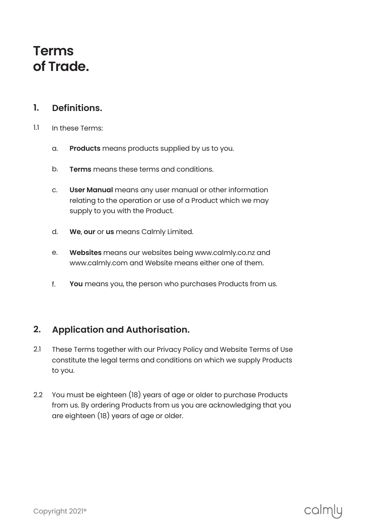## **Terms of Trade.**

#### **Definitions. 1.**

- In these Terms: 1.1
	- **Products** means products supplied by us to you. a.
	- **Terms** means these terms and conditions. b.
	- **User Manual** means any user manual or other information relating to the operation or use of a Product which we may supply to you with the Product. c.
	- **We, our** or **us** means Calmly Limited. d.
	- **Websites** means our websites being www.calmly.co.nz and www.calmly.com and Website means either one of them. e.
	- **You** means you, the person who purchases Products from us. f.

#### **Application and Authorisation. 2.**

- These Terms together with our Privacy Policy and Website Terms of Use constitute the legal terms and conditions on which we supply Products to you. 2.1
- You must be eighteen (18) years of age or older to purchase Products from us. By ordering Products from us you are acknowledging that you are eighteen (18) years of age or older. 2.2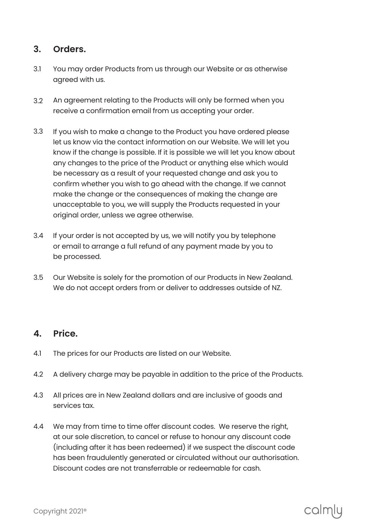#### **Orders. 3.**

- You may order Products from us through our Website or as otherwise agreed with us. 3.1
- An agreement relating to the Products will only be formed when you receive a confirmation email from us accepting your order. 3.2
- If you wish to make a change to the Product you have ordered please let us know via the contact information on our Website. We will let you know if the change is possible. If it is possible we will let you know about any changes to the price of the Product or anything else which would be necessary as a result of your requested change and ask you to confirm whether you wish to go ahead with the change. If we cannot make the change or the consequences of making the change are unacceptable to you, we will supply the Products requested in your original order, unless we agree otherwise. 3.3
- If your order is not accepted by us, we will notify you by telephone or email to arrange a full refund of any payment made by you to be processed. 3.4
- Our Website is solely for the promotion of our Products in New Zealand. We do not accept orders from or deliver to addresses outside of NZ. 3.5

#### **Price. 4.**

- The prices for our Products are listed on our Website. 4.1
- A delivery charge may be payable in addition to the price of the Products. 4.2
- All prices are in New Zealand dollars and are inclusive of goods and services tax. 4.3
- We may from time to time offer discount codes. We reserve the right, at our sole discretion, to cancel or refuse to honour any discount code (including after it has been redeemed) if we suspect the discount code has been fraudulently generated or circulated without our authorisation. Discount codes are not transferrable or redeemable for cash. 4.4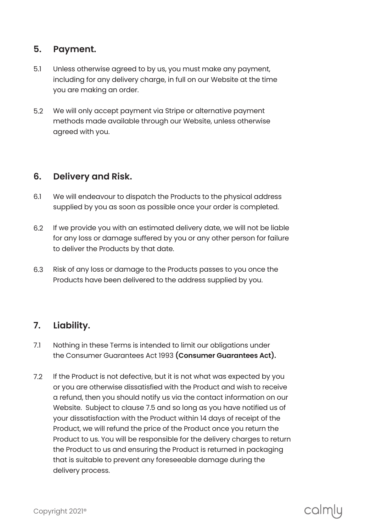### **5. Payment.**

- Unless otherwise agreed to by us, you must make any payment, including for any delivery charge, in full on our Website at the time you are making an order. 5.1
- We will only accept payment via Stripe or alternative payment methods made available through our Website, unless otherwise agreed with you. 5.2

#### **6. Delivery and Risk.**

- 6.1 We will endeavour to dispatch the Products to the physical address supplied by you as soon as possible once your order is completed.
- 6.2 If we provide you with an estimated delivery date, we will not be liable for any loss or damage suffered by you or any other person for failure to deliver the Products by that date.
- 6.3 Risk of any loss or damage to the Products passes to you once the Products have been delivered to the address supplied by you.

#### **7. Liability.**

- 7.1 Nothing in these Terms is intended to limit our obligations under the Consumer Guarantees Act 1993 **( Consumer Guarantees Act ).**
- 7.2 If the Product is not defective, but it is not what was expected by you or you are otherwise dissatisfied with the Product and wish to receive a refund, then you should notify us via the contact information on our Website. Subject to clause 7.5 and so long as you have notified us of your dissatisfaction with the Product within 14 days of receipt of the Product, we will refund the price of the Product once you return the Product to us. You will be responsible for the delivery charges to return the Product to us and ensuring the Product is returned in packaging that is suitable to prevent any foreseeable damage during the delivery process.

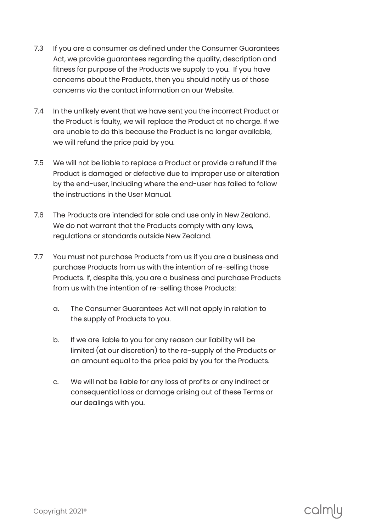- If you are a consumer as defined under the Consumer Guarantees Act, we provide guarantees regarding the quality, description and fitness for purpose of the Products we supply to you. If you have concerns about the Products, then you should notify us of those concerns via the contact information on our Website. 7.3
- In the unlikely event that we have sent you the incorrect Product or the Product is faulty, we will replace the Product at no charge. If we are unable to do this because the Product is no longer available, we will refund the price paid by you. 7.4
- We will not be liable to replace a Product or provide a refund if the Product is damaged or defective due to improper use or alteration by the end-user, including where the end-user has failed to follow the instructions in the User Manual. 7.5
- The Products are intended for sale and use only in New Zealand. 7.6 We do not warrant that the Products comply with any laws, regulations or standards outside New Zealand.
- You must not purchase Products from us if you are a business and purchase Products from us with the intention of re-selling those Products. If, despite this, you are a business and purchase Products from us with the intention of re-selling those Products: 7.7
	- The Consumer Guarantees Act will not apply in relation to the supply of Products to you. a.
	- If we are liable to you for any reason our liability will be limited (at our discretion) to the re-supply of the Products or an amount equal to the price paid by you for the Products. b.
	- We will not be liable for any loss of profits or any indirect or consequential loss or damage arising out of these Terms or our dealings with you. c.